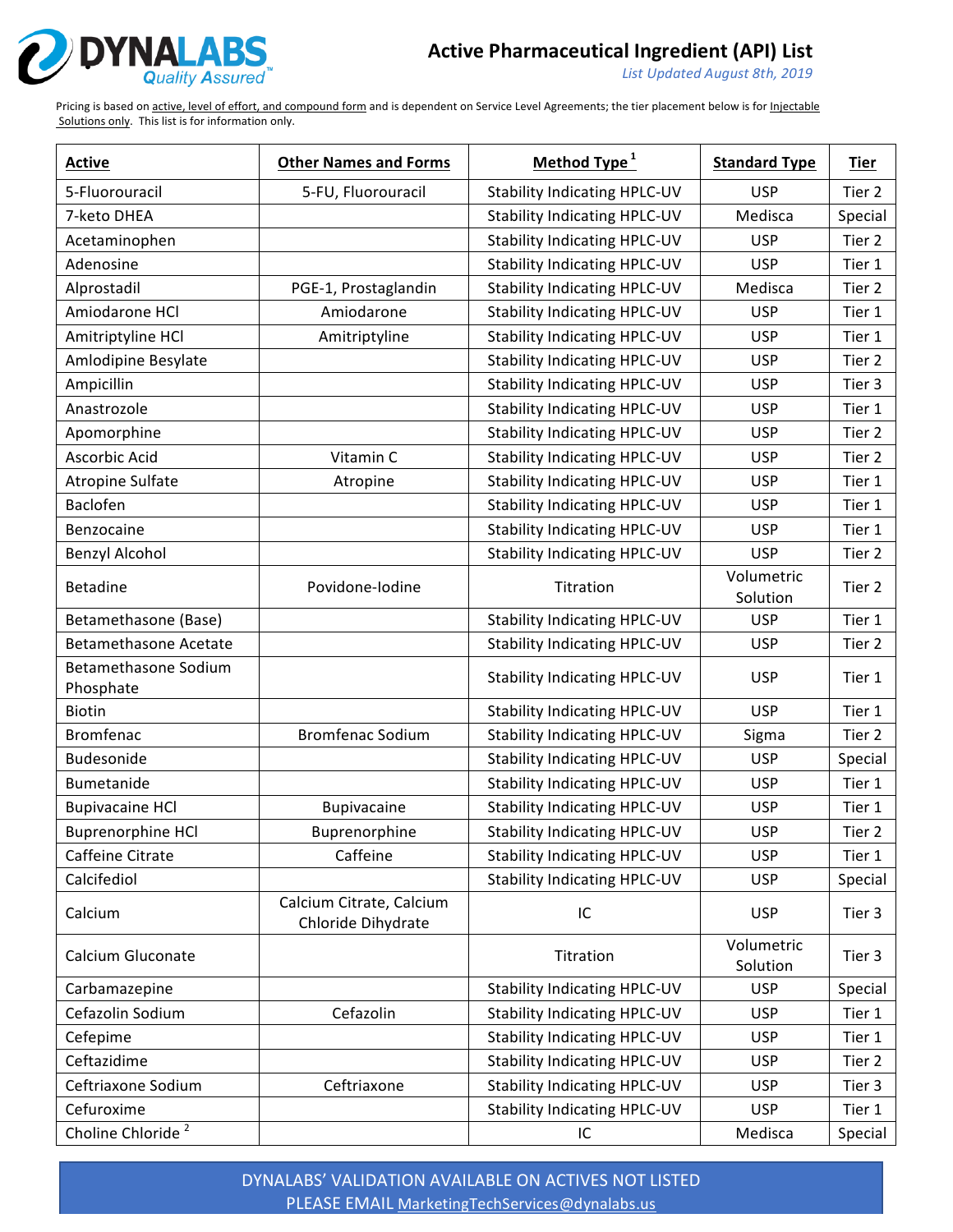

*List Updated August 8th, 2019*

Pricing is based on active, level of effort, and compound form and is dependent on Service Level Agreements; the tier placement below is for Injectable Solutions only. This list is for information only.

| <b>Active</b>                            | <b>Other Names and Forms</b>                   | Method Type <sup>1</sup>            | <b>Standard Type</b>   | <b>Tier</b> |
|------------------------------------------|------------------------------------------------|-------------------------------------|------------------------|-------------|
| 5-Fluorouracil                           | 5-FU, Fluorouracil                             | <b>Stability Indicating HPLC-UV</b> | <b>USP</b>             | Tier 2      |
| 7-keto DHEA                              |                                                | <b>Stability Indicating HPLC-UV</b> | Medisca                | Special     |
| Acetaminophen                            |                                                | <b>Stability Indicating HPLC-UV</b> | <b>USP</b>             | Tier 2      |
| Adenosine                                |                                                | <b>Stability Indicating HPLC-UV</b> | <b>USP</b>             | Tier 1      |
| Alprostadil                              | PGE-1, Prostaglandin                           | <b>Stability Indicating HPLC-UV</b> | Medisca                | Tier 2      |
| Amiodarone HCl                           | Amiodarone                                     | <b>Stability Indicating HPLC-UV</b> | <b>USP</b>             | Tier 1      |
| Amitriptyline HCl                        | Amitriptyline                                  | <b>Stability Indicating HPLC-UV</b> | <b>USP</b>             | Tier 1      |
| Amlodipine Besylate                      |                                                | <b>Stability Indicating HPLC-UV</b> | <b>USP</b>             | Tier 2      |
| Ampicillin                               |                                                | <b>Stability Indicating HPLC-UV</b> | <b>USP</b>             | Tier 3      |
| Anastrozole                              |                                                | <b>Stability Indicating HPLC-UV</b> | <b>USP</b>             | Tier 1      |
| Apomorphine                              |                                                | <b>Stability Indicating HPLC-UV</b> | <b>USP</b>             | Tier 2      |
| Ascorbic Acid                            | Vitamin C                                      | <b>Stability Indicating HPLC-UV</b> | <b>USP</b>             | Tier 2      |
| <b>Atropine Sulfate</b>                  | Atropine                                       | <b>Stability Indicating HPLC-UV</b> | <b>USP</b>             | Tier 1      |
| Baclofen                                 |                                                | <b>Stability Indicating HPLC-UV</b> | <b>USP</b>             | Tier 1      |
| Benzocaine                               |                                                | <b>Stability Indicating HPLC-UV</b> | <b>USP</b>             | Tier 1      |
| Benzyl Alcohol                           |                                                | <b>Stability Indicating HPLC-UV</b> | <b>USP</b>             | Tier 2      |
| <b>Betadine</b>                          | Povidone-lodine                                | Titration                           | Volumetric<br>Solution | Tier 2      |
| Betamethasone (Base)                     |                                                | <b>Stability Indicating HPLC-UV</b> | <b>USP</b>             | Tier 1      |
| <b>Betamethasone Acetate</b>             |                                                | <b>Stability Indicating HPLC-UV</b> | <b>USP</b>             | Tier 2      |
| <b>Betamethasone Sodium</b><br>Phosphate |                                                | <b>Stability Indicating HPLC-UV</b> | <b>USP</b>             | Tier 1      |
| <b>Biotin</b>                            |                                                | <b>Stability Indicating HPLC-UV</b> | <b>USP</b>             | Tier 1      |
| <b>Bromfenac</b>                         | <b>Bromfenac Sodium</b>                        | <b>Stability Indicating HPLC-UV</b> | Sigma                  | Tier 2      |
| Budesonide                               |                                                | <b>Stability Indicating HPLC-UV</b> | <b>USP</b>             | Special     |
| Bumetanide                               |                                                | <b>Stability Indicating HPLC-UV</b> | <b>USP</b>             | Tier 1      |
| <b>Bupivacaine HCl</b>                   | Bupivacaine                                    | <b>Stability Indicating HPLC-UV</b> | <b>USP</b>             | Tier 1      |
| <b>Buprenorphine HCl</b>                 | Buprenorphine                                  | <b>Stability Indicating HPLC-UV</b> | <b>USP</b>             | Tier 2      |
| Caffeine Citrate                         | Caffeine                                       | <b>Stability Indicating HPLC-UV</b> | <b>USP</b>             | Tier 1      |
| Calcifediol                              |                                                | <b>Stability Indicating HPLC-UV</b> | <b>USP</b>             | Special     |
| Calcium                                  | Calcium Citrate, Calcium<br>Chloride Dihydrate | IC                                  | <b>USP</b>             | Tier 3      |
| Calcium Gluconate                        |                                                | Titration                           | Volumetric<br>Solution | Tier 3      |
| Carbamazepine                            |                                                | <b>Stability Indicating HPLC-UV</b> | <b>USP</b>             | Special     |
| Cefazolin Sodium                         | Cefazolin                                      | <b>Stability Indicating HPLC-UV</b> | <b>USP</b>             | Tier 1      |
| Cefepime                                 |                                                | <b>Stability Indicating HPLC-UV</b> | <b>USP</b>             | Tier 1      |
| Ceftazidime                              |                                                | <b>Stability Indicating HPLC-UV</b> | <b>USP</b>             | Tier 2      |
| Ceftriaxone Sodium                       | Ceftriaxone                                    | <b>Stability Indicating HPLC-UV</b> | <b>USP</b>             | Tier 3      |
| Cefuroxime                               |                                                | <b>Stability Indicating HPLC-UV</b> | <b>USP</b>             | Tier 1      |
| Choline Chloride <sup>2</sup>            |                                                | IC                                  | Medisca                | Special     |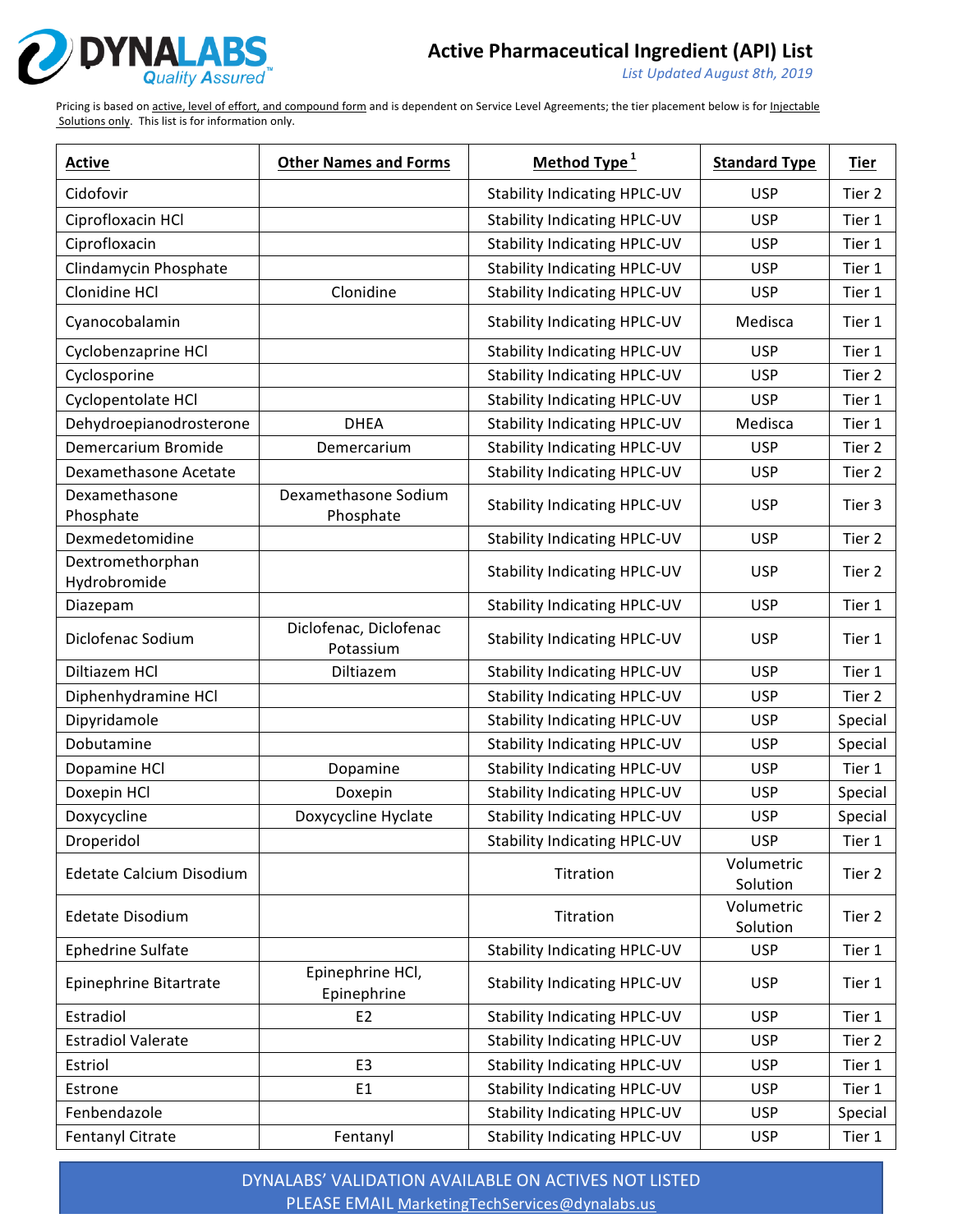

*List Updated August 8th, 2019*

Pricing is based on active, level of effort, and compound form and is dependent on Service Level Agreements; the tier placement below is for Injectable Solutions only. This list is for information only.

| <b>Active</b>                    | <b>Other Names and Forms</b>        | Method Type <sup>1</sup>            | <b>Standard Type</b>   | <b>Tier</b> |
|----------------------------------|-------------------------------------|-------------------------------------|------------------------|-------------|
| Cidofovir                        |                                     | <b>Stability Indicating HPLC-UV</b> | <b>USP</b>             | Tier 2      |
| Ciprofloxacin HCl                |                                     | <b>Stability Indicating HPLC-UV</b> | <b>USP</b>             | Tier 1      |
| Ciprofloxacin                    |                                     | <b>Stability Indicating HPLC-UV</b> | <b>USP</b>             | Tier 1      |
| Clindamycin Phosphate            |                                     | <b>Stability Indicating HPLC-UV</b> | <b>USP</b>             | Tier 1      |
| Clonidine HCl                    | Clonidine                           | <b>Stability Indicating HPLC-UV</b> | <b>USP</b>             | Tier 1      |
| Cyanocobalamin                   |                                     | <b>Stability Indicating HPLC-UV</b> | Medisca                | Tier 1      |
| Cyclobenzaprine HCl              |                                     | <b>Stability Indicating HPLC-UV</b> | <b>USP</b>             | Tier 1      |
| Cyclosporine                     |                                     | <b>Stability Indicating HPLC-UV</b> | <b>USP</b>             | Tier 2      |
| Cyclopentolate HCl               |                                     | <b>Stability Indicating HPLC-UV</b> | <b>USP</b>             | Tier 1      |
| Dehydroepianodrosterone          | <b>DHEA</b>                         | <b>Stability Indicating HPLC-UV</b> | Medisca                | Tier 1      |
| Demercarium Bromide              | Demercarium                         | <b>Stability Indicating HPLC-UV</b> | <b>USP</b>             | Tier 2      |
| Dexamethasone Acetate            |                                     | <b>Stability Indicating HPLC-UV</b> | <b>USP</b>             | Tier 2      |
| Dexamethasone<br>Phosphate       | Dexamethasone Sodium<br>Phosphate   | <b>Stability Indicating HPLC-UV</b> | <b>USP</b>             | Tier 3      |
| Dexmedetomidine                  |                                     | <b>Stability Indicating HPLC-UV</b> | <b>USP</b>             | Tier 2      |
| Dextromethorphan<br>Hydrobromide |                                     | <b>Stability Indicating HPLC-UV</b> | <b>USP</b>             | Tier 2      |
| Diazepam                         |                                     | <b>Stability Indicating HPLC-UV</b> | <b>USP</b>             | Tier 1      |
| Diclofenac Sodium                | Diclofenac, Diclofenac<br>Potassium | <b>Stability Indicating HPLC-UV</b> | <b>USP</b>             | Tier 1      |
| Diltiazem HCl                    | Diltiazem                           | <b>Stability Indicating HPLC-UV</b> | <b>USP</b>             | Tier 1      |
| Diphenhydramine HCl              |                                     | <b>Stability Indicating HPLC-UV</b> | <b>USP</b>             | Tier 2      |
| Dipyridamole                     |                                     | <b>Stability Indicating HPLC-UV</b> | <b>USP</b>             | Special     |
| Dobutamine                       |                                     | <b>Stability Indicating HPLC-UV</b> | <b>USP</b>             | Special     |
| Dopamine HCl                     | Dopamine                            | <b>Stability Indicating HPLC-UV</b> | <b>USP</b>             | Tier 1      |
| Doxepin HCl                      | Doxepin                             | <b>Stability Indicating HPLC-UV</b> | <b>USP</b>             | Special     |
| Doxycycline                      | Doxycycline Hyclate                 | <b>Stability Indicating HPLC-UV</b> | <b>USP</b>             | Special     |
| Droperidol                       |                                     | <b>Stability Indicating HPLC-UV</b> | <b>USP</b>             | Tier 1      |
| Edetate Calcium Disodium         |                                     | Titration                           | Volumetric<br>Solution | Tier 2      |
| <b>Edetate Disodium</b>          |                                     | Titration                           | Volumetric<br>Solution | Tier 2      |
| Ephedrine Sulfate                |                                     | <b>Stability Indicating HPLC-UV</b> | <b>USP</b>             | Tier 1      |
| Epinephrine Bitartrate           | Epinephrine HCl,<br>Epinephrine     | <b>Stability Indicating HPLC-UV</b> | <b>USP</b>             | Tier 1      |
| Estradiol                        | E <sub>2</sub>                      | <b>Stability Indicating HPLC-UV</b> | <b>USP</b>             | Tier 1      |
| <b>Estradiol Valerate</b>        |                                     | <b>Stability Indicating HPLC-UV</b> | <b>USP</b>             | Tier 2      |
| Estriol                          | E <sub>3</sub>                      | <b>Stability Indicating HPLC-UV</b> | <b>USP</b>             | Tier 1      |
| Estrone                          | E1                                  | <b>Stability Indicating HPLC-UV</b> | <b>USP</b>             | Tier 1      |
| Fenbendazole                     |                                     | <b>Stability Indicating HPLC-UV</b> | <b>USP</b>             | Special     |
| Fentanyl Citrate                 | Fentanyl                            | <b>Stability Indicating HPLC-UV</b> | <b>USP</b>             | Tier 1      |

DYNALABS' VALIDATION AVAILABLE ON ACTIVES NOT LISTED PLEASE EMAIL MarketingTechServices@dynalabs.us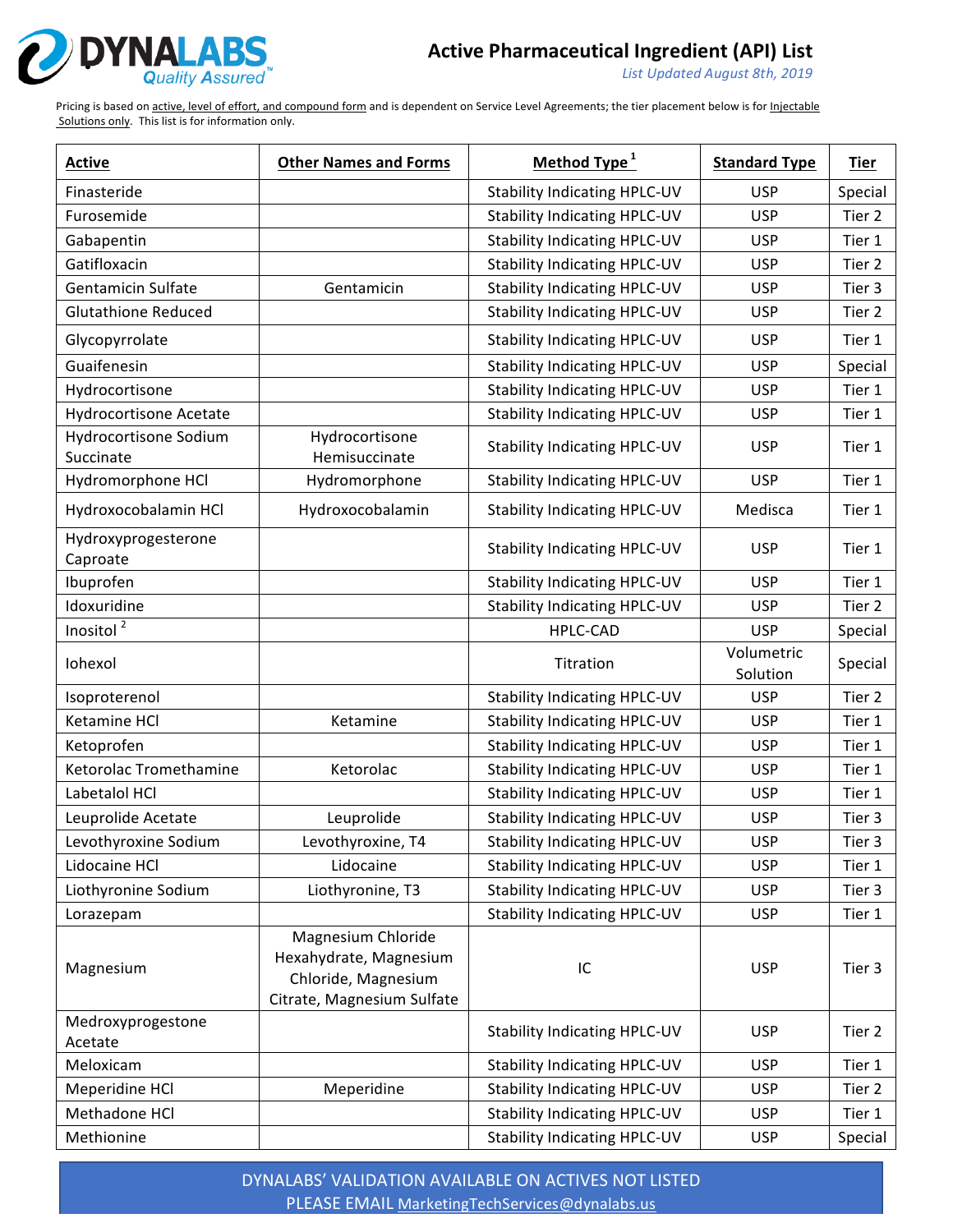

*List Updated August 8th, 2019*

Pricing is based on active, level of effort, and compound form and is dependent on Service Level Agreements; the tier placement below is for Injectable Solutions only. This list is for information only.

| <b>Active</b>                      | <b>Other Names and Forms</b>                                                                      | Method Type <sup>1</sup>            | <b>Standard Type</b>   | <b>Tier</b> |
|------------------------------------|---------------------------------------------------------------------------------------------------|-------------------------------------|------------------------|-------------|
| Finasteride                        |                                                                                                   | <b>Stability Indicating HPLC-UV</b> | <b>USP</b>             | Special     |
| Furosemide                         |                                                                                                   | <b>Stability Indicating HPLC-UV</b> | <b>USP</b>             | Tier 2      |
| Gabapentin                         |                                                                                                   | <b>Stability Indicating HPLC-UV</b> | <b>USP</b>             | Tier 1      |
| Gatifloxacin                       |                                                                                                   | <b>Stability Indicating HPLC-UV</b> | <b>USP</b>             | Tier 2      |
| Gentamicin Sulfate                 | Gentamicin                                                                                        | <b>Stability Indicating HPLC-UV</b> | <b>USP</b>             | Tier 3      |
| <b>Glutathione Reduced</b>         |                                                                                                   | <b>Stability Indicating HPLC-UV</b> | <b>USP</b>             | Tier 2      |
| Glycopyrrolate                     |                                                                                                   | <b>Stability Indicating HPLC-UV</b> | <b>USP</b>             | Tier 1      |
| Guaifenesin                        |                                                                                                   | <b>Stability Indicating HPLC-UV</b> | <b>USP</b>             | Special     |
| Hydrocortisone                     |                                                                                                   | <b>Stability Indicating HPLC-UV</b> | <b>USP</b>             | Tier 1      |
| Hydrocortisone Acetate             |                                                                                                   | <b>Stability Indicating HPLC-UV</b> | <b>USP</b>             | Tier 1      |
| Hydrocortisone Sodium<br>Succinate | Hydrocortisone<br>Hemisuccinate                                                                   | <b>Stability Indicating HPLC-UV</b> | <b>USP</b>             | Tier 1      |
| Hydromorphone HCl                  | Hydromorphone                                                                                     | <b>Stability Indicating HPLC-UV</b> | <b>USP</b>             | Tier 1      |
| Hydroxocobalamin HCl               | Hydroxocobalamin                                                                                  | <b>Stability Indicating HPLC-UV</b> | Medisca                | Tier 1      |
| Hydroxyprogesterone<br>Caproate    |                                                                                                   | <b>Stability Indicating HPLC-UV</b> | <b>USP</b>             | Tier 1      |
| Ibuprofen                          |                                                                                                   | <b>Stability Indicating HPLC-UV</b> | <b>USP</b>             | Tier 1      |
| Idoxuridine                        |                                                                                                   | <b>Stability Indicating HPLC-UV</b> | <b>USP</b>             | Tier 2      |
| Inositol $\sqrt{2}$                |                                                                                                   | HPLC-CAD                            | <b>USP</b>             | Special     |
| Iohexol                            |                                                                                                   | Titration                           | Volumetric<br>Solution | Special     |
| Isoproterenol                      |                                                                                                   | <b>Stability Indicating HPLC-UV</b> | <b>USP</b>             | Tier 2      |
| Ketamine HCl                       | Ketamine                                                                                          | <b>Stability Indicating HPLC-UV</b> | <b>USP</b>             | Tier 1      |
| Ketoprofen                         |                                                                                                   | <b>Stability Indicating HPLC-UV</b> | <b>USP</b>             | Tier 1      |
| Ketorolac Tromethamine             | Ketorolac                                                                                         | <b>Stability Indicating HPLC-UV</b> | <b>USP</b>             | Tier 1      |
| Labetalol HCl                      |                                                                                                   | <b>Stability Indicating HPLC-UV</b> | <b>USP</b>             | Tier 1      |
| Leuprolide Acetate                 | Leuprolide                                                                                        | <b>Stability Indicating HPLC-UV</b> | <b>USP</b>             | Tier 3      |
| Levothyroxine Sodium               | Levothyroxine, T4                                                                                 | <b>Stability Indicating HPLC-UV</b> | <b>USP</b>             | Tier 3      |
| Lidocaine HCl                      | Lidocaine                                                                                         | <b>Stability Indicating HPLC-UV</b> | <b>USP</b>             | Tier 1      |
| Liothyronine Sodium                | Liothyronine, T3                                                                                  | <b>Stability Indicating HPLC-UV</b> | <b>USP</b>             | Tier 3      |
| Lorazepam                          |                                                                                                   | <b>Stability Indicating HPLC-UV</b> | <b>USP</b>             | Tier 1      |
| Magnesium                          | Magnesium Chloride<br>Hexahydrate, Magnesium<br>Chloride, Magnesium<br>Citrate, Magnesium Sulfate | IC                                  | <b>USP</b>             | Tier 3      |
| Medroxyprogestone<br>Acetate       |                                                                                                   | <b>Stability Indicating HPLC-UV</b> | <b>USP</b>             | Tier 2      |
| Meloxicam                          |                                                                                                   | <b>Stability Indicating HPLC-UV</b> | <b>USP</b>             | Tier 1      |
| Meperidine HCl                     | Meperidine                                                                                        | <b>Stability Indicating HPLC-UV</b> | <b>USP</b>             | Tier 2      |
| Methadone HCl                      |                                                                                                   | <b>Stability Indicating HPLC-UV</b> | <b>USP</b>             | Tier 1      |
| Methionine                         |                                                                                                   | <b>Stability Indicating HPLC-UV</b> | <b>USP</b>             | Special     |

DYNALABS' VALIDATION AVAILABLE ON ACTIVES NOT LISTED PLEASE EMAIL MarketingTechServices@dynalabs.us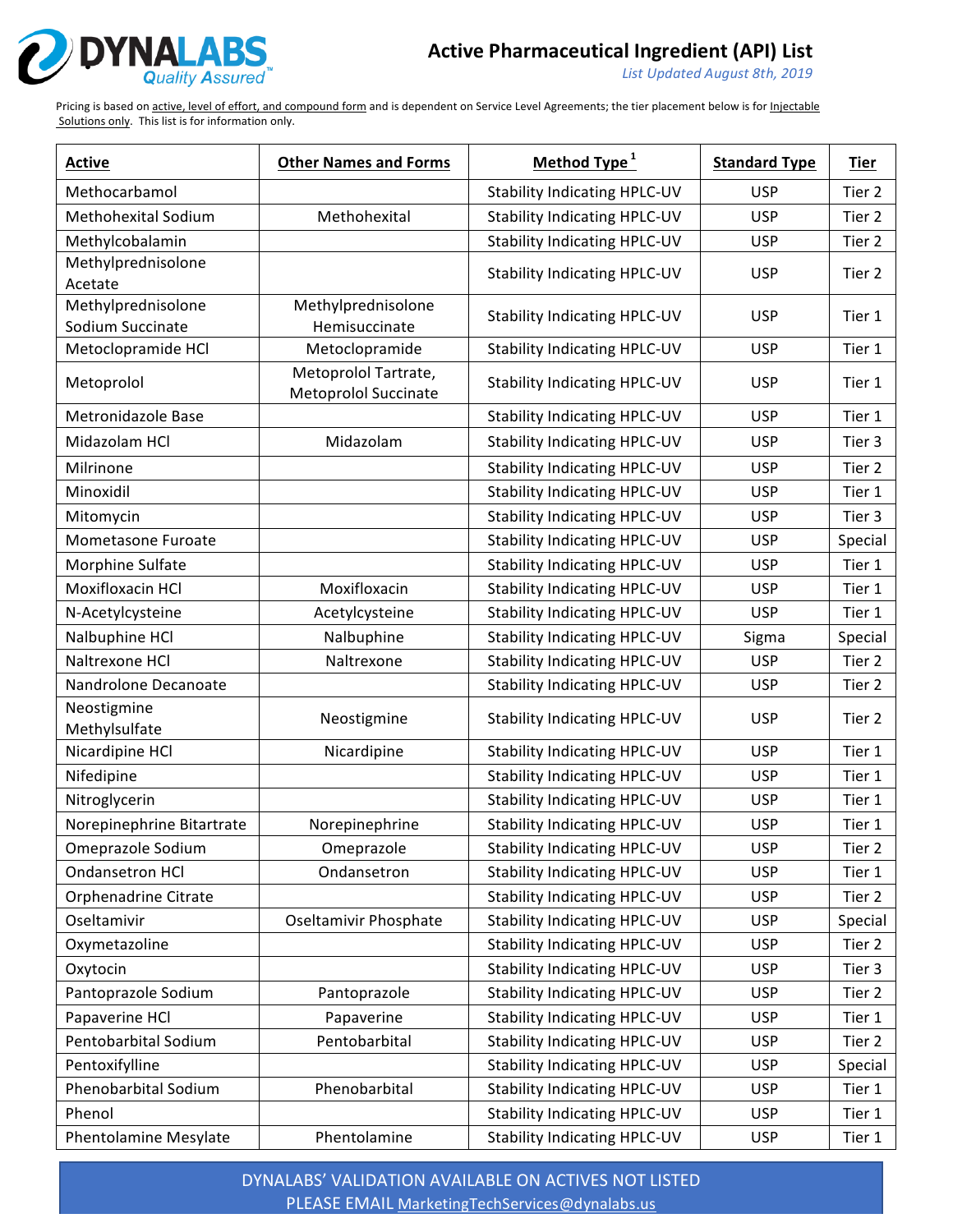

*List Updated August 8th, 2019*

Pricing is based on active, level of effort, and compound form and is dependent on Service Level Agreements; the tier placement below is for Injectable Solutions only. This list is for information only.

| <b>Active</b>              | <b>Other Names and Forms</b>                        | Method Type <sup>1</sup>            | <b>Standard Type</b> | <b>Tier</b> |
|----------------------------|-----------------------------------------------------|-------------------------------------|----------------------|-------------|
| Methocarbamol              |                                                     | <b>Stability Indicating HPLC-UV</b> | <b>USP</b>           | Tier 2      |
| <b>Methohexital Sodium</b> | Methohexital                                        | <b>Stability Indicating HPLC-UV</b> | <b>USP</b>           | Tier 2      |
| Methylcobalamin            |                                                     | <b>Stability Indicating HPLC-UV</b> | <b>USP</b>           | Tier 2      |
| Methylprednisolone         |                                                     | <b>Stability Indicating HPLC-UV</b> | <b>USP</b>           | Tier 2      |
| Acetate                    |                                                     |                                     |                      |             |
| Methylprednisolone         | Methylprednisolone                                  | <b>Stability Indicating HPLC-UV</b> | <b>USP</b>           | Tier 1      |
| Sodium Succinate           | Hemisuccinate                                       |                                     |                      |             |
| Metoclopramide HCl         | Metoclopramide                                      | <b>Stability Indicating HPLC-UV</b> | <b>USP</b>           | Tier 1      |
| Metoprolol                 | Metoprolol Tartrate,<br><b>Metoprolol Succinate</b> | <b>Stability Indicating HPLC-UV</b> | <b>USP</b>           | Tier 1      |
| Metronidazole Base         |                                                     | <b>Stability Indicating HPLC-UV</b> | <b>USP</b>           | Tier 1      |
| Midazolam HCl              | Midazolam                                           | <b>Stability Indicating HPLC-UV</b> | <b>USP</b>           | Tier 3      |
| Milrinone                  |                                                     | <b>Stability Indicating HPLC-UV</b> | <b>USP</b>           | Tier 2      |
| Minoxidil                  |                                                     | <b>Stability Indicating HPLC-UV</b> | <b>USP</b>           | Tier 1      |
| Mitomycin                  |                                                     | <b>Stability Indicating HPLC-UV</b> | <b>USP</b>           | Tier 3      |
| Mometasone Furoate         |                                                     | <b>Stability Indicating HPLC-UV</b> | <b>USP</b>           | Special     |
| Morphine Sulfate           |                                                     | <b>Stability Indicating HPLC-UV</b> | <b>USP</b>           | Tier 1      |
| <b>Moxifloxacin HCI</b>    | Moxifloxacin                                        | <b>Stability Indicating HPLC-UV</b> | <b>USP</b>           | Tier 1      |
| N-Acetylcysteine           | Acetylcysteine                                      | <b>Stability Indicating HPLC-UV</b> | <b>USP</b>           | Tier 1      |
| Nalbuphine HCl             | Nalbuphine                                          | <b>Stability Indicating HPLC-UV</b> | Sigma                | Special     |
| Naltrexone HCl             | Naltrexone                                          | <b>Stability Indicating HPLC-UV</b> | <b>USP</b>           | Tier 2      |
| Nandrolone Decanoate       |                                                     | <b>Stability Indicating HPLC-UV</b> | <b>USP</b>           | Tier 2      |
| Neostigmine                |                                                     | <b>Stability Indicating HPLC-UV</b> | <b>USP</b>           | Tier 2      |
| Methylsulfate              | Neostigmine                                         |                                     |                      |             |
| Nicardipine HCl            | Nicardipine                                         | <b>Stability Indicating HPLC-UV</b> | <b>USP</b>           | Tier 1      |
| Nifedipine                 |                                                     | <b>Stability Indicating HPLC-UV</b> | <b>USP</b>           | Tier 1      |
| Nitroglycerin              |                                                     | <b>Stability Indicating HPLC-UV</b> | <b>USP</b>           | Tier 1      |
| Norepinephrine Bitartrate  | Norepinephrine                                      | <b>Stability Indicating HPLC-UV</b> | <b>USP</b>           | Tier 1      |
| Omeprazole Sodium          | Omeprazole                                          | <b>Stability Indicating HPLC-UV</b> | <b>USP</b>           | Tier 2      |
| <b>Ondansetron HCI</b>     | Ondansetron                                         | <b>Stability Indicating HPLC-UV</b> | <b>USP</b>           | Tier 1      |
| Orphenadrine Citrate       |                                                     | <b>Stability Indicating HPLC-UV</b> | <b>USP</b>           | Tier 2      |
| Oseltamivir                | Oseltamivir Phosphate                               | <b>Stability Indicating HPLC-UV</b> | <b>USP</b>           | Special     |
| Oxymetazoline              |                                                     | <b>Stability Indicating HPLC-UV</b> | <b>USP</b>           | Tier 2      |
| Oxytocin                   |                                                     | <b>Stability Indicating HPLC-UV</b> | <b>USP</b>           | Tier 3      |
| Pantoprazole Sodium        | Pantoprazole                                        | <b>Stability Indicating HPLC-UV</b> | <b>USP</b>           | Tier 2      |
| Papaverine HCl             | Papaverine                                          | <b>Stability Indicating HPLC-UV</b> | <b>USP</b>           | Tier 1      |
| Pentobarbital Sodium       | Pentobarbital                                       | <b>Stability Indicating HPLC-UV</b> | <b>USP</b>           | Tier 2      |
| Pentoxifylline             |                                                     | <b>Stability Indicating HPLC-UV</b> | <b>USP</b>           | Special     |
| Phenobarbital Sodium       | Phenobarbital                                       | <b>Stability Indicating HPLC-UV</b> | <b>USP</b>           | Tier 1      |
| Phenol                     |                                                     | <b>Stability Indicating HPLC-UV</b> | <b>USP</b>           | Tier 1      |
| Phentolamine Mesylate      | Phentolamine                                        | <b>Stability Indicating HPLC-UV</b> | <b>USP</b>           | Tier 1      |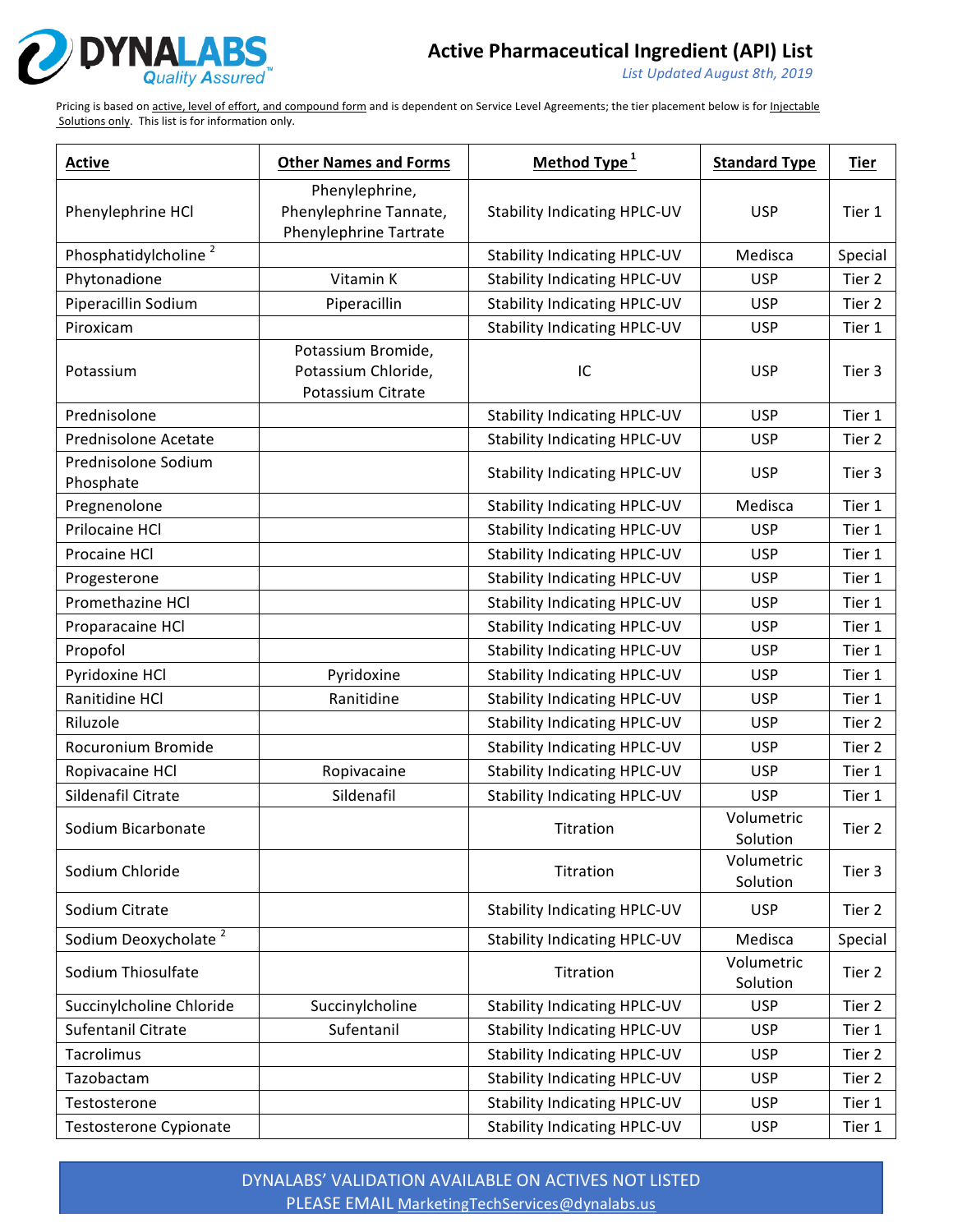

*List Updated August 8th, 2019*

Pricing is based on active, level of effort, and compound form and is dependent on Service Level Agreements; the tier placement below is for Injectable Solutions only. This list is for information only.

| <b>Active</b>                    | <b>Other Names and Forms</b>                                       | Method Type <sup>1</sup>            | <b>Standard Type</b>   | Tier    |
|----------------------------------|--------------------------------------------------------------------|-------------------------------------|------------------------|---------|
| Phenylephrine HCl                | Phenylephrine,<br>Phenylephrine Tannate,<br>Phenylephrine Tartrate | <b>Stability Indicating HPLC-UV</b> | <b>USP</b>             | Tier 1  |
| Phosphatidylcholine <sup>2</sup> |                                                                    | <b>Stability Indicating HPLC-UV</b> | Medisca                | Special |
| Phytonadione                     | Vitamin K                                                          | <b>Stability Indicating HPLC-UV</b> | <b>USP</b>             | Tier 2  |
| Piperacillin Sodium              | Piperacillin                                                       | <b>Stability Indicating HPLC-UV</b> | <b>USP</b>             | Tier 2  |
| Piroxicam                        |                                                                    | <b>Stability Indicating HPLC-UV</b> | <b>USP</b>             | Tier 1  |
| Potassium                        | Potassium Bromide,<br>Potassium Chloride,<br>Potassium Citrate     | IC                                  | <b>USP</b>             | Tier 3  |
| Prednisolone                     |                                                                    | <b>Stability Indicating HPLC-UV</b> | <b>USP</b>             | Tier 1  |
| Prednisolone Acetate             |                                                                    | Stability Indicating HPLC-UV        | <b>USP</b>             | Tier 2  |
| Prednisolone Sodium<br>Phosphate |                                                                    | <b>Stability Indicating HPLC-UV</b> | <b>USP</b>             | Tier 3  |
| Pregnenolone                     |                                                                    | <b>Stability Indicating HPLC-UV</b> | Medisca                | Tier 1  |
| Prilocaine HCl                   |                                                                    | <b>Stability Indicating HPLC-UV</b> | <b>USP</b>             | Tier 1  |
| Procaine HCl                     |                                                                    | <b>Stability Indicating HPLC-UV</b> | <b>USP</b>             | Tier 1  |
| Progesterone                     |                                                                    | <b>Stability Indicating HPLC-UV</b> | <b>USP</b>             | Tier 1  |
| Promethazine HCl                 |                                                                    | <b>Stability Indicating HPLC-UV</b> | <b>USP</b>             | Tier 1  |
| Proparacaine HCl                 |                                                                    | <b>Stability Indicating HPLC-UV</b> | <b>USP</b>             | Tier 1  |
| Propofol                         |                                                                    | <b>Stability Indicating HPLC-UV</b> | <b>USP</b>             | Tier 1  |
| Pyridoxine HCl                   | Pyridoxine                                                         | <b>Stability Indicating HPLC-UV</b> | <b>USP</b>             | Tier 1  |
| Ranitidine HCl                   | Ranitidine                                                         | <b>Stability Indicating HPLC-UV</b> | <b>USP</b>             | Tier 1  |
| Riluzole                         |                                                                    | <b>Stability Indicating HPLC-UV</b> | <b>USP</b>             | Tier 2  |
| Rocuronium Bromide               |                                                                    | <b>Stability Indicating HPLC-UV</b> | <b>USP</b>             | Tier 2  |
| Ropivacaine HCl                  | Ropivacaine                                                        | <b>Stability Indicating HPLC-UV</b> | <b>USP</b>             | Tier 1  |
| Sildenafil Citrate               | Sildenafil                                                         | <b>Stability Indicating HPLC-UV</b> | <b>USP</b>             | Tier 1  |
| Sodium Bicarbonate               |                                                                    | Titration                           | Volumetric<br>Solution | Tier 2  |
| Sodium Chloride                  |                                                                    | Titration                           | Volumetric<br>Solution | Tier 3  |
| Sodium Citrate                   |                                                                    | <b>Stability Indicating HPLC-UV</b> | <b>USP</b>             | Tier 2  |
| Sodium Deoxycholate <sup>2</sup> |                                                                    | <b>Stability Indicating HPLC-UV</b> | Medisca                | Special |
| Sodium Thiosulfate               |                                                                    | Titration                           | Volumetric<br>Solution | Tier 2  |
| Succinylcholine Chloride         | Succinylcholine                                                    | <b>Stability Indicating HPLC-UV</b> | <b>USP</b>             | Tier 2  |
| Sufentanil Citrate               | Sufentanil                                                         | <b>Stability Indicating HPLC-UV</b> | <b>USP</b>             | Tier 1  |
| Tacrolimus                       |                                                                    | <b>Stability Indicating HPLC-UV</b> | <b>USP</b>             | Tier 2  |
| Tazobactam                       |                                                                    | <b>Stability Indicating HPLC-UV</b> | <b>USP</b>             | Tier 2  |
| Testosterone                     |                                                                    | <b>Stability Indicating HPLC-UV</b> | <b>USP</b>             | Tier 1  |
| Testosterone Cypionate           |                                                                    | <b>Stability Indicating HPLC-UV</b> | <b>USP</b>             | Tier 1  |